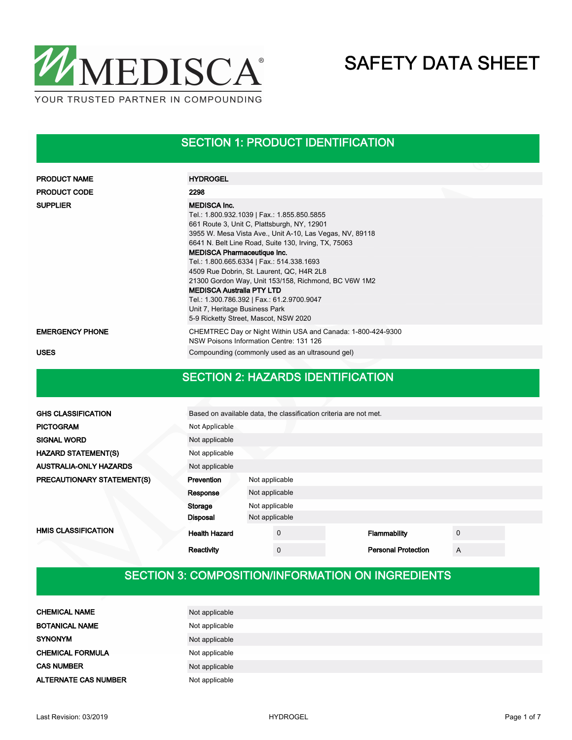

#### SECTION 1: PRODUCT IDENTIFICATION

| <b>PRODUCT NAME</b>    | <b>HYDROGEL</b>                                                                                                                                                                                                                                                                                                                                                                                                                                                                                                                                                                            |
|------------------------|--------------------------------------------------------------------------------------------------------------------------------------------------------------------------------------------------------------------------------------------------------------------------------------------------------------------------------------------------------------------------------------------------------------------------------------------------------------------------------------------------------------------------------------------------------------------------------------------|
| <b>PRODUCT CODE</b>    | 2298                                                                                                                                                                                                                                                                                                                                                                                                                                                                                                                                                                                       |
| <b>SUPPLIER</b>        | <b>MEDISCA Inc.</b><br>Tel.: 1.800.932.1039   Fax.: 1.855.850.5855<br>661 Route 3, Unit C, Plattsburgh, NY, 12901<br>3955 W. Mesa Vista Ave., Unit A-10, Las Vegas, NV, 89118<br>6641 N. Belt Line Road, Suite 130, Irving, TX, 75063<br><b>MEDISCA Pharmaceutique Inc.</b><br>Tel.: 1.800.665.6334   Fax.: 514.338.1693<br>4509 Rue Dobrin, St. Laurent, QC, H4R 2L8<br>21300 Gordon Way, Unit 153/158, Richmond, BC V6W 1M2<br><b>MEDISCA Australia PTY LTD</b><br>Tel.: 1.300.786.392   Fax.: 61.2.9700.9047<br>Unit 7, Heritage Business Park<br>5-9 Ricketty Street, Mascot, NSW 2020 |
| <b>EMERGENCY PHONE</b> | CHEMTREC Day or Night Within USA and Canada: 1-800-424-9300<br>NSW Poisons Information Centre: 131 126                                                                                                                                                                                                                                                                                                                                                                                                                                                                                     |
| <b>USES</b>            | Compounding (commonly used as an ultrasound gel)                                                                                                                                                                                                                                                                                                                                                                                                                                                                                                                                           |

#### SECTION 2: HAZARDS IDENTIFICATION

| <b>GHS CLASSIFICATION</b>     | Based on available data, the classification criteria are not met. |                |             |  |                            |             |  |  |  |
|-------------------------------|-------------------------------------------------------------------|----------------|-------------|--|----------------------------|-------------|--|--|--|
| <b>PICTOGRAM</b>              | Not Applicable                                                    |                |             |  |                            |             |  |  |  |
| <b>SIGNAL WORD</b>            | Not applicable                                                    |                |             |  |                            |             |  |  |  |
| <b>HAZARD STATEMENT(S)</b>    | Not applicable                                                    |                |             |  |                            |             |  |  |  |
| <b>AUSTRALIA-ONLY HAZARDS</b> | Not applicable                                                    |                |             |  |                            |             |  |  |  |
| PRECAUTIONARY STATEMENT(S)    | Prevention                                                        | Not applicable |             |  |                            |             |  |  |  |
|                               | Response                                                          | Not applicable |             |  |                            |             |  |  |  |
|                               | Storage                                                           | Not applicable |             |  |                            |             |  |  |  |
|                               | <b>Disposal</b>                                                   | Not applicable |             |  |                            |             |  |  |  |
| <b>HMIS CLASSIFICATION</b>    | <b>Health Hazard</b>                                              |                | $\mathbf 0$ |  | Flammability               | $\mathbf 0$ |  |  |  |
|                               | Reactivity                                                        |                | $\mathbf 0$ |  | <b>Personal Protection</b> | A           |  |  |  |

### SECTION 3: COMPOSITION/INFORMATION ON INGREDIENTS

| <b>CHEMICAL NAME</b>        | Not applicable |
|-----------------------------|----------------|
| <b>BOTANICAL NAME</b>       | Not applicable |
| <b>SYNONYM</b>              | Not applicable |
| <b>CHEMICAL FORMULA</b>     | Not applicable |
| <b>CAS NUMBER</b>           | Not applicable |
| <b>ALTERNATE CAS NUMBER</b> | Not applicable |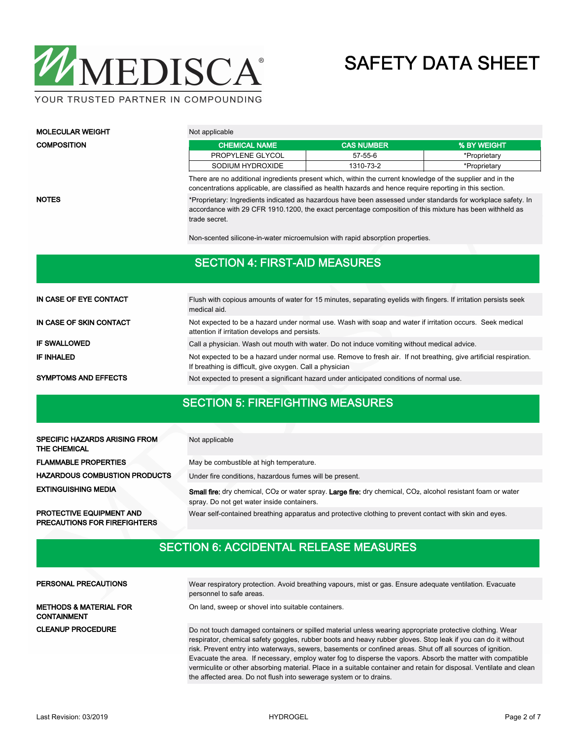

YOUR TRUSTED PARTNER IN COMPOUNDING

trade secret.

| <b>MOLECULAR WEIGHT</b> | Not applicable                                                                                                                                                                                                         |                   |              |  |  |  |  |  |
|-------------------------|------------------------------------------------------------------------------------------------------------------------------------------------------------------------------------------------------------------------|-------------------|--------------|--|--|--|--|--|
| <b>COMPOSITION</b>      | <b>CHEMICAL NAME</b>                                                                                                                                                                                                   | <b>CAS NUMBER</b> | % BY WEIGHT  |  |  |  |  |  |
|                         | PROPYLENE GLYCOL                                                                                                                                                                                                       | 57-55-6           | *Proprietary |  |  |  |  |  |
|                         | SODIUM HYDROXIDE                                                                                                                                                                                                       | 1310-73-2         | *Proprietary |  |  |  |  |  |
|                         | There are no additional ingredients present which, within the current knowledge of the supplier and in the<br>concentrations applicable, are classified as health hazards and hence require reporting in this section. |                   |              |  |  |  |  |  |

NOTES

\*Proprietary: Ingredients indicated as hazardous have been assessed under standards for workplace safety. In accordance with 29 CFR 1910.1200, the exact percentage composition of this mixture has been withheld as

Non-scented silicone-in-water microemulsion with rapid absorption properties.

#### SECTION 4: FIRST-AID MEASURES

| IN CASE OF EYE CONTACT      | Flush with copious amounts of water for 15 minutes, separating evelids with fingers. If irritation persists seek<br>medical aid.                                              |
|-----------------------------|-------------------------------------------------------------------------------------------------------------------------------------------------------------------------------|
| IN CASE OF SKIN CONTACT     | Not expected to be a hazard under normal use. Wash with soap and water if irritation occurs. Seek medical<br>attention if irritation develops and persists.                   |
| <b>IF SWALLOWED</b>         | Call a physician. Wash out mouth with water. Do not induce vomiting without medical advice.                                                                                   |
| <b>IF INHALED</b>           | Not expected to be a hazard under normal use. Remove to fresh air. If not breathing, give artificial respiration.<br>If breathing is difficult, give oxygen. Call a physician |
| <b>SYMPTOMS AND EFFECTS</b> | Not expected to present a significant hazard under anticipated conditions of normal use.                                                                                      |

### SECTION 5: FIREFIGHTING MEASURES

| <b>SPECIFIC HAZARDS ARISING FROM</b><br>THE CHEMICAL | Not applicable                                                                                                                                                                             |
|------------------------------------------------------|--------------------------------------------------------------------------------------------------------------------------------------------------------------------------------------------|
| <b>FLAMMABLE PROPERTIES</b>                          | May be combustible at high temperature.                                                                                                                                                    |
| <b>HAZARDOUS COMBUSTION PRODUCTS</b>                 | Under fire conditions, hazardous fumes will be present.                                                                                                                                    |
| <b>EXTINGUISHING MEDIA</b>                           | <b>Small fire:</b> dry chemical, CO <sub>2</sub> or water spray. Large fire: dry chemical, CO <sub>2</sub> , alcohol resistant foam or water<br>spray. Do not get water inside containers. |
| <b>PROTECTIVE EQUIPMENT AND</b>                      | Wear self-contained breathing apparatus and protective clothing to prevent contact with skin and eyes.                                                                                     |

SECTION 6: ACCIDENTAL RELEASE MEASURES

| <b>PERSONAL PRECAUTIONS</b>                             | Wear respiratory protection. Avoid breathing vapours, mist or gas. Ensure adequate ventilation. Evacuate<br>personnel to safe areas.                                                                                                                                                                                                    |
|---------------------------------------------------------|-----------------------------------------------------------------------------------------------------------------------------------------------------------------------------------------------------------------------------------------------------------------------------------------------------------------------------------------|
| <b>METHODS &amp; MATERIAL FOR</b><br><b>CONTAINMENT</b> | On land, sweep or shovel into suitable containers.                                                                                                                                                                                                                                                                                      |
| <b>CLEANUP PROCEDURE</b>                                | Do not touch damaged containers or spilled material unless wearing appropriate protective clothing. Wear<br>respirator, chemical safety goggles, rubber boots and heavy rubber gloves. Stop leak if you can do it without<br>risk. Prevent entry into waterways, sewers, basements or confined areas. Shut off all sources of ignition. |
|                                                         | Evacuate the area. If necessary, employ water fog to disperse the vapors. Absorb the matter with compatible<br>vermiculite or other absorbing material. Place in a suitable container and retain for disposal. Ventilate and clean                                                                                                      |

PRECAUTIONS FOR FIREFIGHTERS

the affected area. Do not flush into sewerage system or to drains.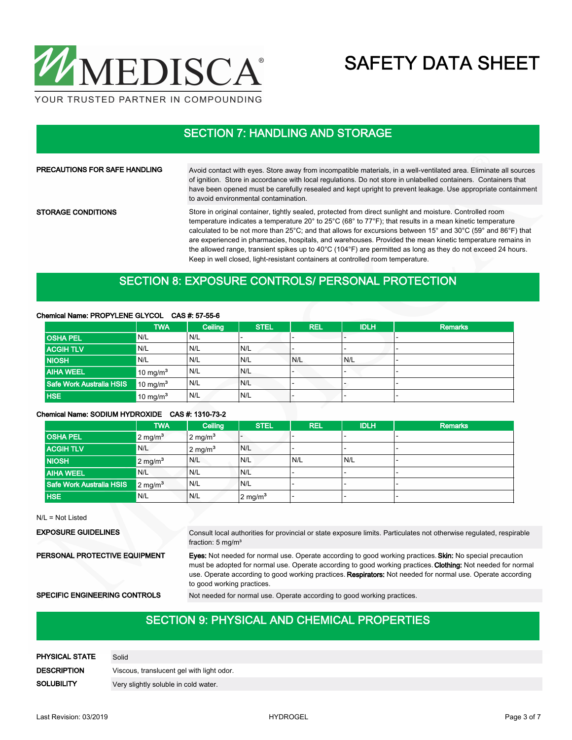

## SECTION 7: HANDLING AND STORAGE

| <b>PRECAUTIONS FOR SAFE HANDLING</b> | Avoid contact with eyes. Store away from incompatible materials, in a well-ventilated area. Eliminate all sources<br>of ignition. Store in accordance with local regulations. Do not store in unlabelled containers. Containers that<br>have been opened must be carefully resealed and kept upright to prevent leakage. Use appropriate containment<br>to avoid environmental contamination.                                                        |
|--------------------------------------|------------------------------------------------------------------------------------------------------------------------------------------------------------------------------------------------------------------------------------------------------------------------------------------------------------------------------------------------------------------------------------------------------------------------------------------------------|
| <b>STORAGE CONDITIONS</b>            | Store in original container, tightly sealed, protected from direct sunlight and moisture. Controlled room<br>temperature indicates a temperature 20° to 25°C (68° to 77°F); that results in a mean kinetic temperature<br>calculated to be not more than 25°C; and that allows for excursions between 15° and 30°C (59° and 86°F) that<br>are experienced in pharmacies, hospitals, and warehouses. Provided the mean kinetic temperature remains in |

the allowed range, transient spikes up to 40°C (104°F) are permitted as long as they do not exceed 24 hours. Keep in well closed, light-resistant containers at controlled room temperature.

#### SECTION 8: EXPOSURE CONTROLS/ PERSONAL PROTECTION

#### Chemical Name: PROPYLENE GLYCOL CAS #: 57-55-6

|                          | <b>TWA</b>           | Ceiling | <b>STEL</b> | <b>REL</b> | <b>IDLH</b>              | <b>Remarks</b> |
|--------------------------|----------------------|---------|-------------|------------|--------------------------|----------------|
| <b>OSHA PEL</b>          | N/L                  | N/L     |             |            |                          |                |
| <b>ACGIHTLV</b>          | N/L                  | 'N/L    | N/L         |            |                          |                |
| <b>NIOSH</b>             | N/L                  | N/L     | N/L         | N/L        | N/L                      |                |
| <b>AIHA WEEL</b>         | 10 mg/m <sup>3</sup> | ' N/L   | N/L         |            | $\overline{\phantom{0}}$ |                |
| Safe Work Australia HSIS | $10 \text{ mg/m}^3$  | N/L     | N/L         |            |                          |                |
| <b>HSE</b>               | $10 \text{ mg/m}^3$  | N/L     | N/L         |            |                          |                |

#### Chemical Name: SODIUM HYDROXIDE CAS #: 1310-73-2

|                          | <b>TWA</b>            | Ceiling            | <b>STEL</b>        | <b>REL</b> | <b>IDLH</b> | <b>Remarks</b> |
|--------------------------|-----------------------|--------------------|--------------------|------------|-------------|----------------|
| <b>OSHA PEL</b>          | $2 \text{ mg/m}^3$    | $2 \text{ mg/m}^3$ |                    |            |             |                |
| <b>ACGIH TLV</b>         | N/L                   | $2 \text{ mg/m}^3$ | N/L                |            |             |                |
| <b>NIOSH</b>             | $2$ mg/m <sup>3</sup> | N/L                | IN/L               | N/L        | N/L         |                |
| <b>AIHA WEEL</b>         | N/L                   | N/L                | N/L                |            |             |                |
| Safe Work Australia HSIS | $12 \text{ mg/m}^3$   | N/L                | IN/L               |            |             |                |
| <b>HSE</b>               | N/L                   | N/L                | $2 \text{ mg/m}^3$ |            |             |                |

N/L = Not Listed

Consult local authorities for provincial or state exposure limits. Particulates not otherwise regulated, respirable fraction: 5 mg/m<sup>3</sup> EXPOSURE GUIDELINES Eyes: Not needed for normal use. Operate according to good working practices. Skin: No special precaution must be adopted for normal use. Operate according to good working practices. Clothing: Not needed for normal use. Operate according to good working practices. Respirators: Not needed for normal use. Operate according to good working practices. PERSONAL PROTECTIVE EQUIPMENT SPECIFIC ENGINEERING CONTROLS Not needed for normal use. Operate according to good working practices.

#### SECTION 9: PHYSICAL AND CHEMICAL PROPERTIES

| PHYSICAL STATE     | Solid                                     |
|--------------------|-------------------------------------------|
| <b>DESCRIPTION</b> | Viscous, translucent gel with light odor. |
| <b>SOLUBILITY</b>  | Very slightly soluble in cold water.      |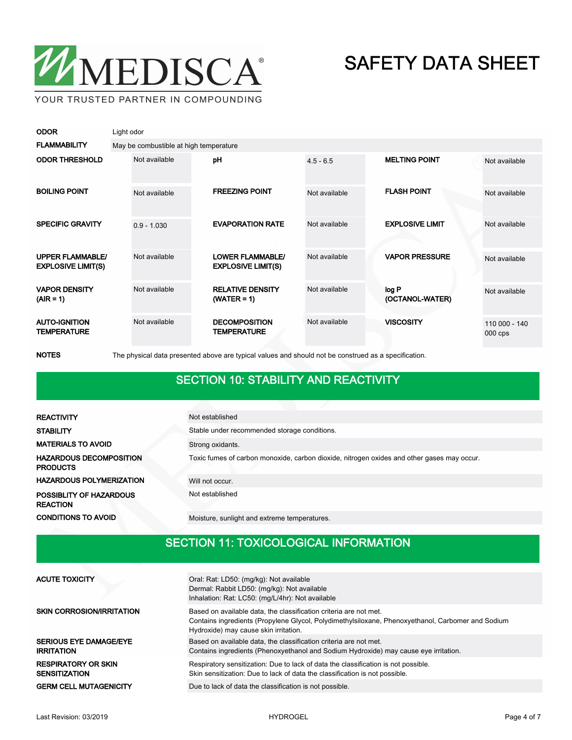

| <b>ODOR</b>                                          | Light odor                             |               |  |                                                      |               |                          |                            |  |
|------------------------------------------------------|----------------------------------------|---------------|--|------------------------------------------------------|---------------|--------------------------|----------------------------|--|
| <b>FLAMMABILITY</b>                                  | May be combustible at high temperature |               |  |                                                      |               |                          |                            |  |
| <b>ODOR THRESHOLD</b>                                |                                        | Not available |  | pH                                                   | $4.5 - 6.5$   | <b>MELTING POINT</b>     | Not available              |  |
| <b>BOILING POINT</b>                                 |                                        | Not available |  | <b>FREEZING POINT</b>                                | Not available | <b>FLASH POINT</b>       | Not available              |  |
| <b>SPECIFIC GRAVITY</b>                              |                                        | $0.9 - 1.030$ |  | <b>EVAPORATION RATE</b>                              | Not available | <b>EXPLOSIVE LIMIT</b>   | Not available              |  |
| <b>UPPER FLAMMABLE/</b><br><b>EXPLOSIVE LIMIT(S)</b> |                                        | Not available |  | <b>LOWER FLAMMABLE/</b><br><b>EXPLOSIVE LIMIT(S)</b> | Not available | <b>VAPOR PRESSURE</b>    | Not available              |  |
| <b>VAPOR DENSITY</b><br>$(AIR = 1)$                  |                                        | Not available |  | <b>RELATIVE DENSITY</b><br>$(WATER = 1)$             | Not available | log P<br>(OCTANOL-WATER) | Not available              |  |
| <b>AUTO-IGNITION</b><br><b>TEMPERATURE</b>           |                                        | Not available |  | <b>DECOMPOSITION</b><br><b>TEMPERATURE</b>           | Not available | <b>VISCOSITY</b>         | 110 000 - 140<br>$000$ cps |  |

NOTES The physical data presented above are typical values and should not be construed as a specification.

#### SECTION 10: STABILITY AND REACTIVITY

| <b>REACTIVITY</b>                                 | Not established                                                                            |
|---------------------------------------------------|--------------------------------------------------------------------------------------------|
| <b>STABILITY</b>                                  | Stable under recommended storage conditions.                                               |
| <b>MATERIALS TO AVOID</b>                         | Strong oxidants.                                                                           |
| <b>HAZARDOUS DECOMPOSITION</b><br><b>PRODUCTS</b> | Toxic fumes of carbon monoxide, carbon dioxide, nitrogen oxides and other gases may occur. |
| <b>HAZARDOUS POLYMERIZATION</b>                   | Will not occur.                                                                            |
| POSSIBLITY OF HAZARDOUS<br><b>REACTION</b>        | Not established                                                                            |
| <b>CONDITIONS TO AVOID</b>                        | Moisture, sunlight and extreme temperatures.                                               |

## SECTION 11: TOXICOLOGICAL INFORMATION

| <b>ACUTE TOXICITY</b>                              | Oral: Rat: LD50: (mg/kg): Not available<br>Dermal: Rabbit LD50: (mg/kg): Not available<br>Inhalation: Rat: LC50: (mg/L/4hr): Not available                                                                      |
|----------------------------------------------------|-----------------------------------------------------------------------------------------------------------------------------------------------------------------------------------------------------------------|
| <b>SKIN CORROSION/IRRITATION</b>                   | Based on available data, the classification criteria are not met.<br>Contains ingredients (Propylene Glycol, Polydimethylsiloxane, Phenoxyethanol, Carbomer and Sodium<br>Hydroxide) may cause skin irritation. |
| <b>SERIOUS EYE DAMAGE/EYE</b><br><b>IRRITATION</b> | Based on available data, the classification criteria are not met.<br>Contains ingredients (Phenoxyethanol and Sodium Hydroxide) may cause eye irritation.                                                       |
| <b>RESPIRATORY OR SKIN</b><br><b>SENSITIZATION</b> | Respiratory sensitization: Due to lack of data the classification is not possible.<br>Skin sensitization: Due to lack of data the classification is not possible.                                               |
| <b>GERM CELL MUTAGENICITY</b>                      | Due to lack of data the classification is not possible.                                                                                                                                                         |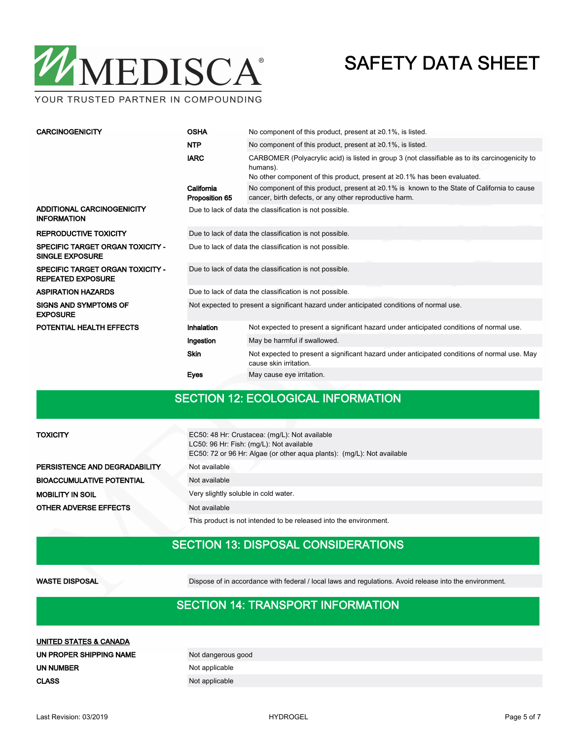

YOUR TRUSTED PARTNER IN COMPOUNDING

| <b>CARCINOGENICITY</b>                                              | <b>OSHA</b>                                                                              | No component of this product, present at $\geq 0.1\%$ , is listed.                                                                                                                             |  |  |
|---------------------------------------------------------------------|------------------------------------------------------------------------------------------|------------------------------------------------------------------------------------------------------------------------------------------------------------------------------------------------|--|--|
|                                                                     | <b>NTP</b>                                                                               | No component of this product, present at $\geq 0.1\%$ , is listed.                                                                                                                             |  |  |
|                                                                     | <b>IARC</b>                                                                              | CARBOMER (Polyacrylic acid) is listed in group 3 (not classifiable as to its carcinogenicity to<br>humans).<br>No other component of this product, present at $\geq 0.1\%$ has been evaluated. |  |  |
|                                                                     | California<br>Proposition 65                                                             | No component of this product, present at $\geq 0.1\%$ is known to the State of California to cause<br>cancer, birth defects, or any other reproductive harm.                                   |  |  |
| ADDITIONAL CARCINOGENICITY<br><b>INFORMATION</b>                    | Due to lack of data the classification is not possible.                                  |                                                                                                                                                                                                |  |  |
| <b>REPRODUCTIVE TOXICITY</b>                                        | Due to lack of data the classification is not possible.                                  |                                                                                                                                                                                                |  |  |
| <b>SPECIFIC TARGET ORGAN TOXICITY -</b><br><b>SINGLE EXPOSURE</b>   | Due to lack of data the classification is not possible.                                  |                                                                                                                                                                                                |  |  |
| <b>SPECIFIC TARGET ORGAN TOXICITY -</b><br><b>REPEATED EXPOSURE</b> | Due to lack of data the classification is not possible.                                  |                                                                                                                                                                                                |  |  |
| <b>ASPIRATION HAZARDS</b>                                           | Due to lack of data the classification is not possible.                                  |                                                                                                                                                                                                |  |  |
| <b>SIGNS AND SYMPTOMS OF</b><br><b>EXPOSURE</b>                     | Not expected to present a significant hazard under anticipated conditions of normal use. |                                                                                                                                                                                                |  |  |
| POTENTIAL HEALTH EFFECTS                                            | Inhalation                                                                               | Not expected to present a significant hazard under anticipated conditions of normal use.                                                                                                       |  |  |
|                                                                     | Ingestion                                                                                | May be harmful if swallowed.                                                                                                                                                                   |  |  |
|                                                                     | <b>Skin</b>                                                                              | Not expected to present a significant hazard under anticipated conditions of normal use. May<br>cause skin irritation.                                                                         |  |  |
|                                                                     | Eyes                                                                                     | May cause eye irritation.                                                                                                                                                                      |  |  |

#### SECTION 12: ECOLOGICAL INFORMATION

| <b>TOXICITY</b>                  | EC50: 48 Hr: Crustacea: (mg/L): Not available<br>LC50: 96 Hr: Fish: (mg/L): Not available<br>EC50: 72 or 96 Hr: Algae (or other agua plants): (mg/L): Not available |
|----------------------------------|---------------------------------------------------------------------------------------------------------------------------------------------------------------------|
| PERSISTENCE AND DEGRADABILITY    | Not available                                                                                                                                                       |
| <b>BIOACCUMULATIVE POTENTIAL</b> | Not available                                                                                                                                                       |
| <b>MOBILITY IN SOIL</b>          | Very slightly soluble in cold water.                                                                                                                                |
| <b>OTHER ADVERSE EFFECTS</b>     | Not available                                                                                                                                                       |
|                                  | This product is not intended to be released into the environment.                                                                                                   |

## SECTION 13: DISPOSAL CONSIDERATIONS

WASTE DISPOSAL Dispose of in accordance with federal / local laws and regulations. Avoid release into the environment.

#### SECTION 14: TRANSPORT INFORMATION

| UNITED STATES & CANADA  |                    |
|-------------------------|--------------------|
| UN PROPER SHIPPING NAME | Not dangerous good |
| UN NUMBER               | Not applicable     |
| <b>CLASS</b>            | Not applicable     |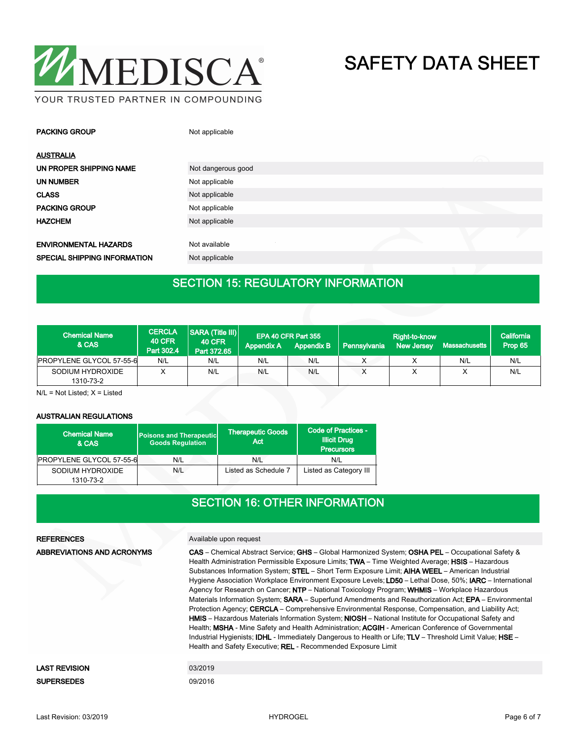

| <b>PACKING GROUP</b>                | Not applicable     |                   |
|-------------------------------------|--------------------|-------------------|
| <b>AUSTRALIA</b>                    |                    | $\curvearrowleft$ |
| UN PROPER SHIPPING NAME             | Not dangerous good |                   |
| <b>UN NUMBER</b>                    | Not applicable     |                   |
| <b>CLASS</b>                        | Not applicable     |                   |
| <b>PACKING GROUP</b>                | Not applicable     |                   |
| <b>HAZCHEM</b>                      | Not applicable     |                   |
| <b>ENVIRONMENTAL HAZARDS</b>        | Not available      |                   |
| <b>SPECIAL SHIPPING INFORMATION</b> | Not applicable     |                   |

## SECTION 15: REGULATORY INFORMATION

| <b>Chemical Name</b><br>& CAS | <b>CERCLA</b><br><b>40 CFR</b><br>Part 302.4 | SARA (Title III)<br><b>40 CFR</b><br>Part 372.65 | <b>Appendix A</b> | EPA 40 CFR Part 355<br><b>Appendix B</b> | Pennsylvania | Right-to-know<br><b>New Jersey</b> | Massachusetts | California<br>Prop 65 |
|-------------------------------|----------------------------------------------|--------------------------------------------------|-------------------|------------------------------------------|--------------|------------------------------------|---------------|-----------------------|
| PROPYLENE GLYCOL 57-55-6      | N/L                                          | N/L                                              | N/L               | N/L                                      |              |                                    | N/L           | N/L                   |
| SODIUM HYDROXIDE<br>1310-73-2 | $\checkmark$                                 | N/L                                              | N/L               | N/L                                      |              |                                    |               | N/L                   |

N/L = Not Listed; X = Listed

#### AUSTRALIAN REGULATIONS

| <b>Chemical Name</b><br>& CAS   | <b>Poisons and Therapeutic</b><br><b>Goods Requlation</b> | <b>Therapeutic Goods</b><br>Act. | Code of Practices -<br><b>Illicit Drug</b><br><b>Precursors</b> |
|---------------------------------|-----------------------------------------------------------|----------------------------------|-----------------------------------------------------------------|
| <b>PROPYLENE GLYCOL 57-55-6</b> | N/L                                                       | N/L                              | N/L                                                             |
| SODIUM HYDROXIDE<br>1310-73-2   | N/L                                                       | Listed as Schedule 7             | Listed as Category III                                          |

#### SECTION 16: OTHER INFORMATION

| <b>REFERENCES</b>          | Available upon request                                                                                                                                                                                                                                                                                                                                                                                                                                                                                                                                                                                                                                                                                                                                                                                                                                                                                                                                                                                                                                                                                                                    |
|----------------------------|-------------------------------------------------------------------------------------------------------------------------------------------------------------------------------------------------------------------------------------------------------------------------------------------------------------------------------------------------------------------------------------------------------------------------------------------------------------------------------------------------------------------------------------------------------------------------------------------------------------------------------------------------------------------------------------------------------------------------------------------------------------------------------------------------------------------------------------------------------------------------------------------------------------------------------------------------------------------------------------------------------------------------------------------------------------------------------------------------------------------------------------------|
| ABBREVIATIONS AND ACRONYMS | CAS - Chemical Abstract Service; GHS - Global Harmonized System; OSHA PEL - Occupational Safety &<br>Health Administration Permissible Exposure Limits; TWA - Time Weighted Average; HSIS - Hazardous<br>Substances Information System: STEL - Short Term Exposure Limit: AIHA WEEL - American Industrial<br>Hygiene Association Workplace Environment Exposure Levels; LD50 - Lethal Dose, 50%; IARC - International<br>Agency for Research on Cancer; NTP – National Toxicology Program; WHMIS – Workplace Hazardous<br>Materials Information System; SARA - Superfund Amendments and Reauthorization Act; EPA - Environmental<br>Protection Agency; CERCLA – Comprehensive Environmental Response, Compensation, and Liability Act;<br>HMIS - Hazardous Materials Information System; NIOSH - National Institute for Occupational Safety and<br>Health; MSHA - Mine Safety and Health Administration; ACGIH - American Conference of Governmental<br>Industrial Hygienists; <b>IDHL</b> - Immediately Dangerous to Health or Life; TLV – Threshold Limit Value; HSE –<br>Health and Safety Executive: REL - Recommended Exposure Limit |
|                            |                                                                                                                                                                                                                                                                                                                                                                                                                                                                                                                                                                                                                                                                                                                                                                                                                                                                                                                                                                                                                                                                                                                                           |
| <b>LAST REVISION</b>       | 03/2019                                                                                                                                                                                                                                                                                                                                                                                                                                                                                                                                                                                                                                                                                                                                                                                                                                                                                                                                                                                                                                                                                                                                   |
| <b>SUPERSEDES</b>          | 09/2016                                                                                                                                                                                                                                                                                                                                                                                                                                                                                                                                                                                                                                                                                                                                                                                                                                                                                                                                                                                                                                                                                                                                   |